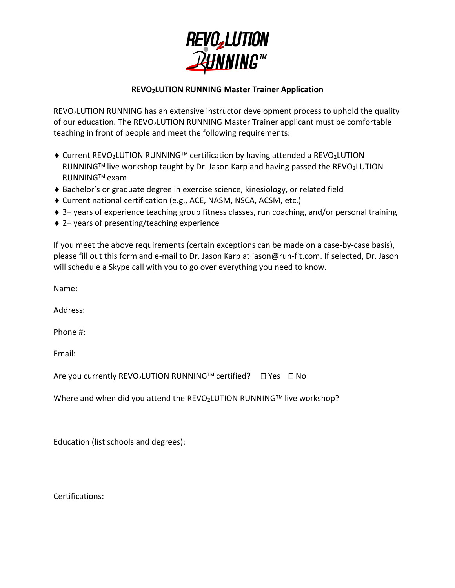

## **REVO2LUTION RUNNING Master Trainer Application**

REVO2LUTION RUNNING has an extensive instructor development process to uphold the quality of our education. The REVO2LUTION RUNNING Master Trainer applicant must be comfortable teaching in front of people and meet the following requirements:

- ♦ Current REVO2LUTION RUNNING<sup>TM</sup> certification by having attended a REVO2LUTION RUNNING<sup>TM</sup> live workshop taught by Dr. Jason Karp and having passed the REVO<sub>2</sub>LUTION RUNNING™ exam
- ◆ Bachelor's or graduate degree in exercise science, kinesiology, or related field
- Current national certification (e.g., ACE, NASM, NSCA, ACSM, etc.)
- ◆ 3+ years of experience teaching group fitness classes, run coaching, and/or personal training
- ◆ 2+ years of presenting/teaching experience

If you meet the above requirements (certain exceptions can be made on a case-by-case basis), please fill out this form and e-mail to Dr. Jason Karp at jason@run-fit.com. If selected, Dr. Jason will schedule a Skype call with you to go over everything you need to know.

Name:

Address:

Phone #:

Email:

Are you currently REVO<sub>2</sub>LUTION RUNNING<sup>TM</sup> certified?  $\Box$  Yes  $\Box$  No

Where and when did you attend the REVO<sub>2</sub>LUTION RUNNING<sup>TM</sup> live workshop?

Education (list schools and degrees):

Certifications: